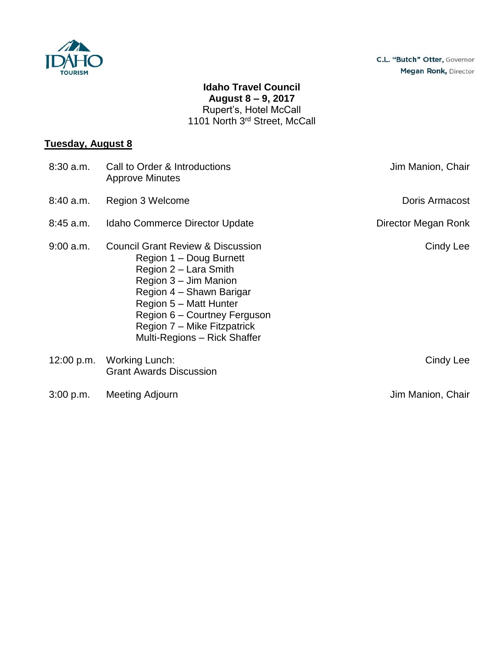

## **Idaho Travel Council August 8 – 9, 2017** Rupert's, Hotel McCall 1101 North 3<sup>rd</sup> Street, McCall

## **Tuesday, August 8**

| $8:30$ a.m. | Call to Order & Introductions<br><b>Approve Minutes</b>                                                                                                                                                                                                                        | Jim Manion, Chair   |
|-------------|--------------------------------------------------------------------------------------------------------------------------------------------------------------------------------------------------------------------------------------------------------------------------------|---------------------|
| 8:40 a.m.   | Region 3 Welcome                                                                                                                                                                                                                                                               | Doris Armacost      |
| $8:45$ a.m. | Idaho Commerce Director Update                                                                                                                                                                                                                                                 | Director Megan Ronk |
| $9:00$ a.m. | <b>Council Grant Review &amp; Discussion</b><br>Region 1 - Doug Burnett<br>Region 2 - Lara Smith<br>Region 3 - Jim Manion<br>Region 4 – Shawn Barigar<br>Region 5 - Matt Hunter<br>Region 6 – Courtney Ferguson<br>Region 7 – Mike Fitzpatrick<br>Multi-Regions – Rick Shaffer | Cindy Lee           |
| 12:00 p.m.  | <b>Working Lunch:</b><br><b>Grant Awards Discussion</b>                                                                                                                                                                                                                        | Cindy Lee           |
| 3:00 p.m.   | Meeting Adjourn                                                                                                                                                                                                                                                                | Jim Manion, Chair   |